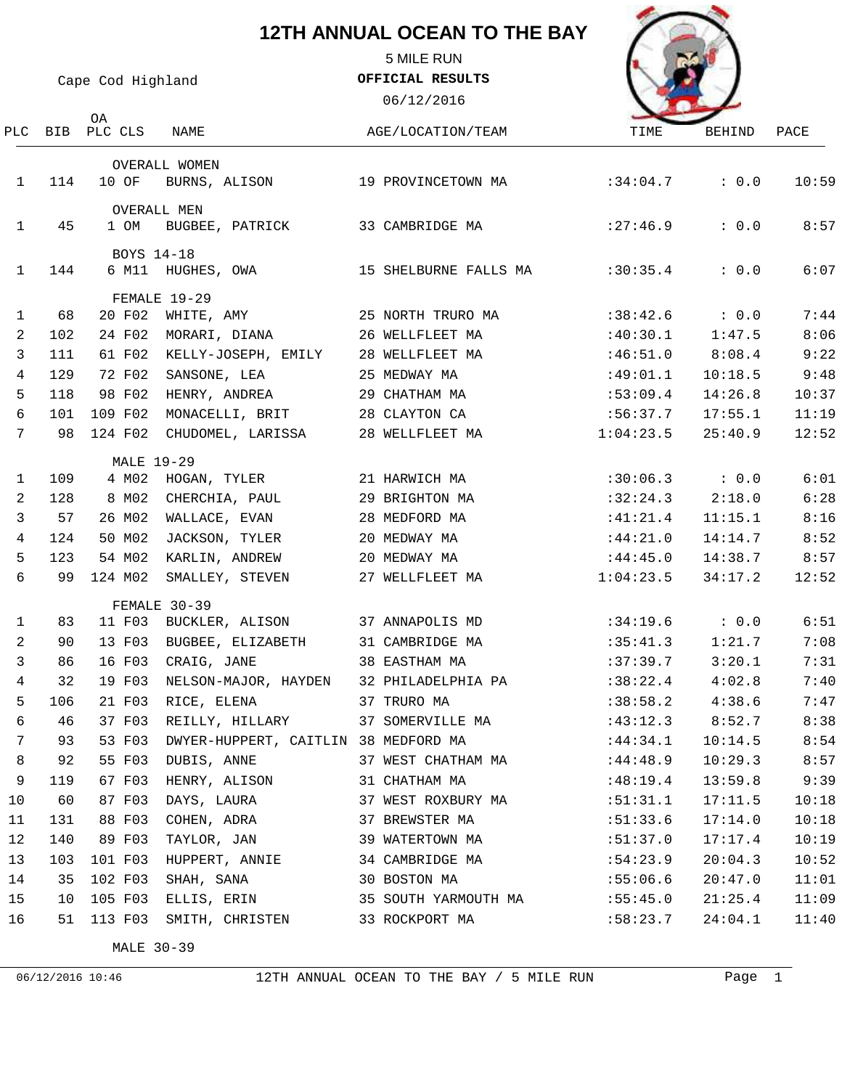5 MILE RUN

Cape Cod Highland

OA

**OFFICIAL RESULTS**

06/12/2016



| PLC             |     | BIB PLC CLS       | NAME                                 | AGE/LOCATION/TEAM     | TIME                 | BEHIND      | PACE  |
|-----------------|-----|-------------------|--------------------------------------|-----------------------|----------------------|-------------|-------|
|                 |     |                   | OVERALL WOMEN                        |                       |                      |             |       |
| $\mathbf{1}$    | 114 | 10 OF             | BURNS, ALISON                        | 19 PROVINCETOWN MA    | :34:04.7             | : 0.0       | 10:59 |
|                 |     |                   | <b>OVERALL MEN</b>                   |                       |                      |             |       |
| $\mathbf{1}$    | 45  | 1 OM              | BUGBEE, PATRICK                      | 33 CAMBRIDGE MA       | : 27:46.9            | : 0.0       | 8:57  |
|                 |     | BOYS 14-18        |                                      |                       |                      |             |       |
| $\mathbf{1}$    | 144 |                   | 6 M11 HUGHES, OWA                    | 15 SHELBURNE FALLS MA | :30:35.4             | : 0.0       | 6:07  |
|                 |     |                   | FEMALE 19-29                         |                       |                      |             |       |
| $\mathbf{1}$    | 68  | 20 F02            | WHITE, AMY                           | 25 NORTH TRURO MA     | :38:42.6             | $\cdot$ 0.0 | 7:44  |
| 2               | 102 | 24 F02            | MORARI, DIANA                        | 26 WELLFLEET MA       | :40:30.1             | 1:47.5      | 8:06  |
| 3               | 111 | 61 F02            | KELLY-JOSEPH, EMILY                  | 28 WELLFLEET MA       | :46:51.0             | 8:08.4      | 9:22  |
| $\overline{4}$  | 129 | 72 F02            | SANSONE, LEA                         | 25 MEDWAY MA          | :49:01.1             | 10:18.5     | 9:48  |
| 5               | 118 | 98 F02            | HENRY, ANDREA                        | 29 СНАТНАМ МА         | :53:09.4             | 14:26.8     | 10:37 |
| 6               | 101 | 109 F02           | MONACELLI, BRIT                      | 28 CLAYTON CA         | :56:37.7             | 17:55.1     | 11:19 |
| $7\phantom{.0}$ | 98  | 124 F02           | CHUDOMEL, LARISSA                    | 28 WELLFLEET MA       | 1:04:23.5            | 25:40.9     | 12:52 |
|                 |     | <b>MALE 19-29</b> |                                      |                       |                      |             |       |
| 1               | 109 | 4 MO2             | HOGAN, TYLER                         | 21 HARWICH MA         | :30:06.3             | $\cdot$ 0.0 | 6:01  |
| 2               | 128 | 8 MO2             | CHERCHIA, PAUL                       | 29 BRIGHTON MA        | :32:24.3             | 2:18.0      | 6:28  |
| 3               | 57  | 26 M02            | WALLACE, EVAN                        | 28 MEDFORD MA         | :41:21.4             | 11:15.1     | 8:16  |
| $\overline{4}$  | 124 | 50 MO2            | JACKSON, TYLER                       | 20 MEDWAY MA          | :44:21.0             | 14:14.7     | 8:52  |
| 5               | 123 | 54 M02            | KARLIN, ANDREW                       | 20 MEDWAY MA          | :44:45.0             | 14:38.7     | 8:57  |
| 6               | 99  | 124 MO2           | SMALLEY, STEVEN                      | 27 WELLFLEET MA       | 1:04:23.5            | 34:17.2     | 12:52 |
|                 |     |                   | FEMALE 30-39                         |                       |                      |             |       |
| 1               | 83  | 11 F03            | BUCKLER, ALISON                      | 37 ANNAPOLIS MD       | $:34:19.6$ : 0.0     |             | 6:51  |
| 2               | 90  | 13 F03            | BUGBEE, ELIZABETH                    | 31 CAMBRIDGE MA       | :35:41.3             | 1:21.7      | 7:08  |
| 3               | 86  | 16 F03            | CRAIG, JANE                          | 38 EASTHAM MA         | :37:39.7             | 3:20.1      | 7:31  |
| 4               | 32  | 19 F03            | NELSON-MAJOR, HAYDEN                 | 32 PHILADELPHIA PA    | :38:22.4             | 4:02.8      | 7:40  |
| 5               | 106 | 21 F03            | RICE, ELENA                          | 37 TRURO MA           | :38:58.2             | 4:38.6      | 7:47  |
| 6               | 46  | 37 F03            | REILLY, HILLARY                      | 37 SOMERVILLE MA      | :43:12.3             | 8:52.7      | 8:38  |
| $7\phantom{.}$  | 93  | 53 F03            | DWYER-HUPPERT, CAITLIN 38 MEDFORD MA |                       | $:44:34.1$ $10:14.5$ |             | 8:54  |
| 8               | 92  |                   | 55 F03 DUBIS, ANNE                   | 37 WEST CHATHAM MA    | :44:48.9             | 10:29.3     | 8:57  |
| 9               | 119 | 67 F03            | HENRY, ALISON                        | 31 CHATHAM MA         | :48:19.4             | 13:59.8     | 9:39  |
| 10              | 60  | 87 F03            | DAYS, LAURA                          | 37 WEST ROXBURY MA    | :51:31.1             | 17:11.5     | 10:18 |
| 11              | 131 | 88 F03            | COHEN, ADRA                          | 37 BREWSTER MA        | :51:33.6             | 17:14.0     | 10:18 |
| 12              | 140 | 89 F03            | TAYLOR, JAN                          | 39 WATERTOWN MA       | :51:37.0             | 17:17.4     | 10:19 |
| 13              | 103 |                   | 101 F03 HUPPERT, ANNIE               | 34 CAMBRIDGE MA       | :54:23.9             | 20:04.3     | 10:52 |
| 14              | 35  | 102 F03           | SHAH, SANA                           | 30 BOSTON MA          | :55:06.6             | 20:47.0     | 11:01 |
| 15              | 10  | 105 F03           | ELLIS, ERIN                          | 35 SOUTH YARMOUTH MA  | :55:45.0             | 21:25.4     | 11:09 |
| 16              |     | 51 113 F03        | SMITH, CHRISTEN                      | 33 ROCKPORT MA        | :58:23.7             | 24:04.1     | 11:40 |
|                 |     |                   |                                      |                       |                      |             |       |

MALE 30-39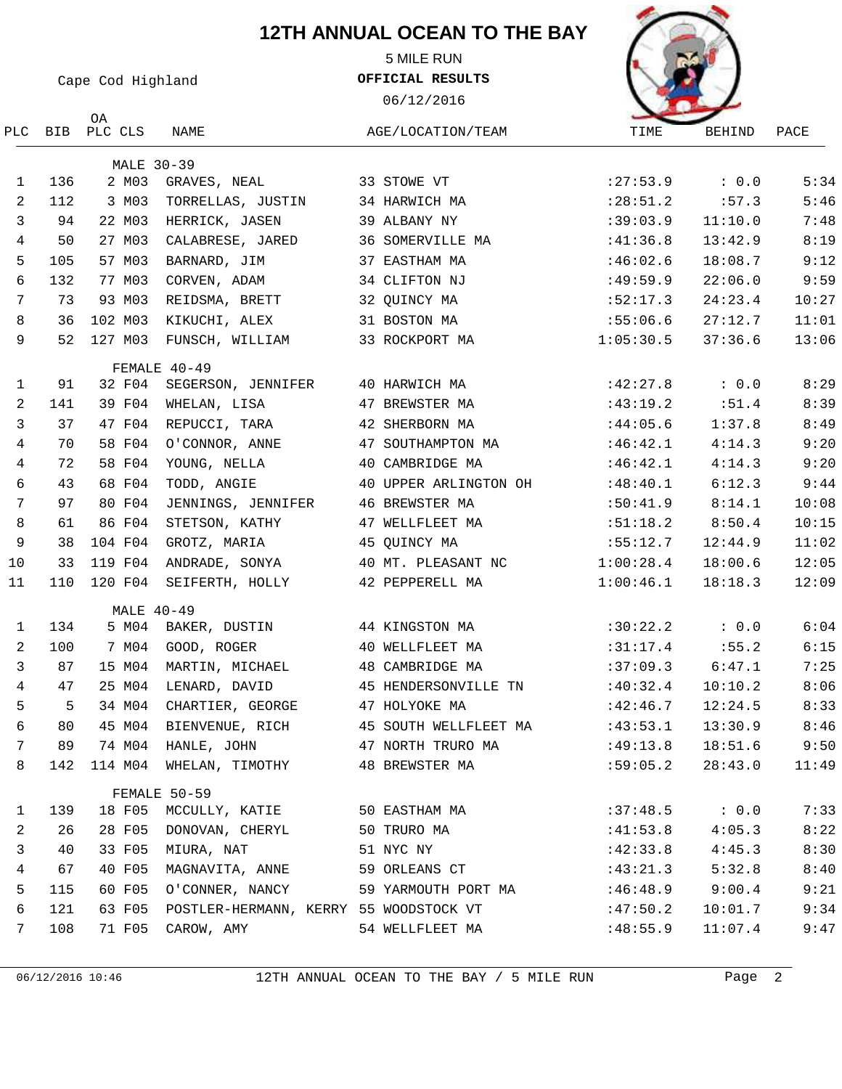5 MILE RUN

Cape Cod Highland

PLC BIB PLC CLS NAME

OA

**OFFICIAL RESULTS**

06/12/2016





|                |     | MALE 30-39 |                                        |                       |                    |                  |       |
|----------------|-----|------------|----------------------------------------|-----------------------|--------------------|------------------|-------|
| $\mathbf{1}$   | 136 | 2 MO3      | GRAVES, NEAL                           | 33 STOWE VT           | : 27:53.9          | $\cdot$ 0.0      | 5:34  |
| $\overline{a}$ | 112 | 3 MO3      | TORRELLAS, JUSTIN                      | 34 HARWICH MA         | : 28:51.2          | :57.3            | 5:46  |
| 3              | 94  | 22 M03     | HERRICK, JASEN                         | 39 ALBANY NY          | :39:03.9           | 11:10.0          | 7:48  |
| 4              | 50  | 27 M03     | CALABRESE, JARED                       | 36 SOMERVILLE MA      | :41:36.8           | 13:42.9          | 8:19  |
| 5              | 105 | 57 M03     | BARNARD, JIM                           | 37 EASTHAM MA         | :46:02.6           | 18:08.7          | 9:12  |
| 6              | 132 | 77 M03     | CORVEN, ADAM                           | 34 CLIFTON NJ         | :49:59.9           | 22:06.0          | 9:59  |
| 7              | 73  | 93 M03     | REIDSMA, BRETT                         | 32 QUINCY MA          | :52:17.3           | 24:23.4          | 10:27 |
| 8              | 36  | 102 M03    | KIKUCHI, ALEX                          | 31 BOSTON MA          | :55:06.6           | 27:12.7          | 11:01 |
| 9              | 52  | 127 M03    | FUNSCH, WILLIAM                        | 33 ROCKPORT MA        | 1:05:30.5          | 37:36.6          | 13:06 |
|                |     |            | FEMALE 40-49                           |                       |                    |                  |       |
| $\mathbf{1}$   | 91  | 32 F04     | SEGERSON, JENNIFER                     | 40 HARWICH MA         | :42:27.8           | $\therefore$ 0.0 | 8:29  |
| 2              | 141 | 39 F04     | WHELAN, LISA                           | 47 BREWSTER MA        | $:43:19.2$ $:51.4$ |                  | 8:39  |
| 3              | 37  | 47 F04     | REPUCCI, TARA                          | 42 SHERBORN MA        | :44:05.6           | 1:37.8           | 8:49  |
| 4              | 70  | 58 F04     | O'CONNOR, ANNE                         | 47 SOUTHAMPTON MA     | :46:42.1           | 4:14.3           | 9:20  |
| 4              | 72  | 58 F04     | YOUNG, NELLA                           | 40 CAMBRIDGE MA       | :46:42.1           | 4:14.3           | 9:20  |
| 6              | 43  | 68 F04     | TODD, ANGIE                            | 40 UPPER ARLINGTON OH | :48:40.1           | 6:12.3           | 9:44  |
| 7              | 97  | 80 F04     | JENNINGS, JENNIFER                     | 46 BREWSTER MA        | :50:41.9           | 8:14.1           | 10:08 |
| $\,8\,$        | 61  | 86 F04     | STETSON, KATHY                         | 47 WELLFLEET MA       | :51:18.2           | 8:50.4           | 10:15 |
| 9              | 38  | 104 F04    | GROTZ, MARIA                           | 45 QUINCY MA          | :55:12.7           | 12:44.9          | 11:02 |
| 10             | 33  | 119 F04    | ANDRADE, SONYA                         | 40 MT. PLEASANT NC    | 1:00:28.4          | 18:00.6          | 12:05 |
| 11             | 110 | 120 F04    | SEIFERTH, HOLLY                        | 42 PEPPERELL MA       | 1:00:46.1          | 18:18.3          | 12:09 |
|                |     | MALE 40-49 |                                        |                       |                    |                  |       |
| 1              | 134 | 5 MO4      | BAKER, DUSTIN                          | 44 KINGSTON MA        | :30:22.2           | $\therefore$ 0.0 | 6:04  |
| $\overline{a}$ | 100 | 7 MO4      | GOOD, ROGER                            | 40 WELLFLEET MA       | :31:17.4           | : 55.2           | 6:15  |
| 3              | 87  | 15 M04     | MARTIN, MICHAEL                        | 48 CAMBRIDGE MA       | $:37:09.3$ 6:47.1  |                  | 7:25  |
| 4              | 47  | 25 M04     | LENARD, DAVID                          | 45 HENDERSONVILLE TN  | :40:32.4           | 10:10.2          | 8:06  |
| 5              | -5  | 34 M04     | CHARTIER, GEORGE                       | 47 HOLYOKE MA         | :42:46.7           | 12:24.5          | 8:33  |
| 6              | 80  | 45 MO4     | BIENVENUE, RICH                        | 45 SOUTH WELLFLEET MA | :43:53.1           | 13:30.9          | 8:46  |
| 7              | 89  | 74 MO4     | HANLE, JOHN                            | 47 NORTH TRURO MA     | :49:13.8           | 18:51.6          | 9:50  |
| 8              |     |            | 142 114 M04 WHELAN, TIMOTHY            | 48 BREWSTER MA        | :59:05.2           | 28:43.0          | 11:49 |
|                |     |            | FEMALE 50-59                           |                       |                    |                  |       |
| 1              | 139 | 18 F05     | MCCULLY, KATIE                         | 50 EASTHAM MA         | :37:48.5           | : 0.0            | 7:33  |
| 2              | 26  | 28 F05     | DONOVAN, CHERYL                        | 50 TRURO MA           | :41:53.8           | 4:05.3           | 8:22  |
| 3              | 40  | 33 F05     | MIURA, NAT                             | 51 NYC NY             | :42:33.8           | 4:45.3           | 8:30  |
| 4              | 67  | 40 F05     | MAGNAVITA, ANNE                        | 59 ORLEANS CT         | :43:21.3           | 5:32.8           | 8:40  |
| 5              | 115 | 60 F05     | O'CONNER, NANCY                        | 59 YARMOUTH PORT MA   | :46:48.9           | 9:00.4           | 9:21  |
| 6              | 121 | 63 F05     | POSTLER-HERMANN, KERRY 55 WOODSTOCK VT |                       | :47:50.2           | 10:01.7          | 9:34  |
| 7              | 108 | 71 F05     | CAROW, AMY                             | 54 WELLFLEET MA       | :48:55.9           | 11:07.4          | 9:47  |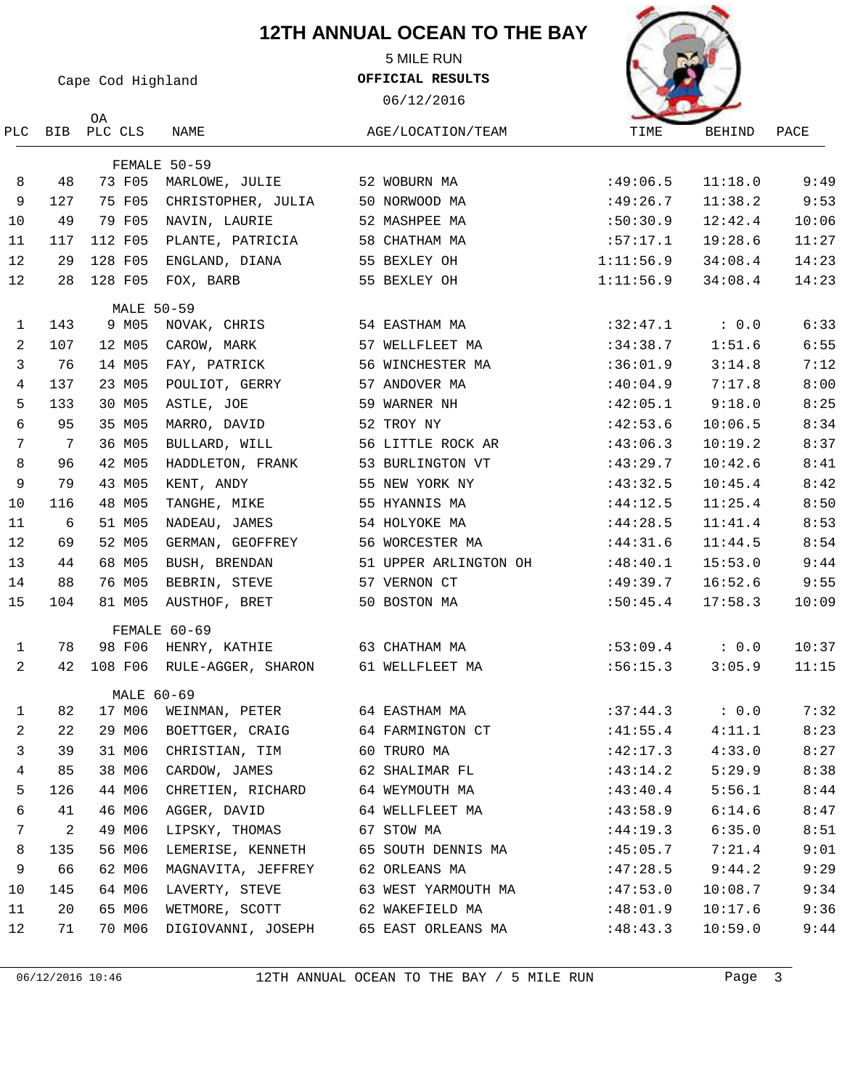5 MILE RUN

Cape Cod Highland

**OFFICIAL RESULTS**

06/12/2016



|                |     | ОA                |                           |                       |                  |                  |       |
|----------------|-----|-------------------|---------------------------|-----------------------|------------------|------------------|-------|
| PLC            | BIB | PLC CLS           | NAME                      | AGE/LOCATION/TEAM     | TIME             | <b>BEHIND</b>    | PACE  |
|                |     |                   | FEMALE 50-59              |                       |                  |                  |       |
| 8              | 48  | 73 F05            | MARLOWE, JULIE            | 52 WOBURN MA          | :49:06.5         | 11:18.0          | 9:49  |
| 9              | 127 | 75 F05            | CHRISTOPHER, JULIA        | 50 NORWOOD MA         | :49:26.7         | 11:38.2          | 9:53  |
| 10             | 49  | 79 F05            | NAVIN, LAURIE             | 52 MASHPEE MA         | :50:30.9         | 12:42.4          | 10:06 |
| 11             | 117 | 112 F05           | PLANTE, PATRICIA          | 58 CHATHAM MA         | :57:17.1         | 19:28.6          | 11:27 |
| 12             | 29  | 128 F05           | ENGLAND, DIANA            | 55 BEXLEY OH          | 1:11:56.9        | 34:08.4          | 14:23 |
| 12             | 28  | 128 F05           | FOX, BARB                 | 55 BEXLEY OH          | 1:11:56.9        | 34:08.4          | 14:23 |
|                |     | <b>MALE 50-59</b> |                           |                       |                  |                  |       |
| 1              | 143 | 9 M05             | NOVAK, CHRIS              | 54 EASTHAM MA         | :32:47.1         | $\therefore$ 0.0 | 6:33  |
| 2              | 107 | 12 M05            | CAROW, MARK               | 57 WELLFLEET MA       | :34:38.7         | 1:51.6           | 6:55  |
| 3              | 76  | 14 M05            | FAY, PATRICK              | 56 WINCHESTER MA      | :36:01.9         | 3:14.8           | 7:12  |
| 4              | 137 | 23 M05            | POULIOT, GERRY            | 57 ANDOVER MA         | :40:04.9         | 7:17.8           | 8:00  |
| 5              | 133 | 30 M05            | ASTLE, JOE                | 59 WARNER NH          | :42:05.1         | 9:18.0           | 8:25  |
| 6              | 95  | 35 M05            | MARRO, DAVID              | 52 TROY NY            | :42:53.6         | 10:06.5          | 8:34  |
| 7              | 7   | 36 M05            | BULLARD, WILL             | 56 LITTLE ROCK AR     | :43:06.3         | 10:19.2          | 8:37  |
| 8              | 96  | 42 M05            | HADDLETON, FRANK          | 53 BURLINGTON VT      | :43:29.7         | 10:42.6          | 8:41  |
| 9              | 79  | 43 M05            | KENT, ANDY                | 55 NEW YORK NY        | :43:32.5         | 10:45.4          | 8:42  |
| 10             | 116 | 48 M05            | TANGHE, MIKE              | 55 HYANNIS MA         | :44:12.5         | 11:25.4          | 8:50  |
| 11             | 6   | 51 M05            | NADEAU, JAMES             | 54 HOLYOKE MA         | :44:28.5         | 11:41.4          | 8:53  |
| 12             | 69  | 52 M05            | GERMAN, GEOFFREY          | 56 WORCESTER MA       | :44:31.6         | 11:44.5          | 8:54  |
| 13             | 44  | 68 M05            | BUSH, BRENDAN             | 51 UPPER ARLINGTON OH | :48:40.1         | 15:53.0          | 9:44  |
| 14             | 88  | 76 M05            | BEBRIN, STEVE             | 57 VERNON CT          | :49:39.7         | 16:52.6          | 9:55  |
| 15             | 104 | 81 M05            | AUSTHOF, BRET             | 50 BOSTON MA          | :50:45.4         | 17:58.3          | 10:09 |
|                |     |                   | FEMALE 60-69              |                       |                  |                  |       |
| $\mathbf{1}$   | 78  | 98 F06            | HENRY, KATHIE             | 63 СНАТНАМ МА         | $:53:09.4$ : 0.0 |                  | 10:37 |
| 2              | 42  | 108 F06           | RULE-AGGER, SHARON        | 61 WELLFLEET MA       | :56:15.3         | 3:05.9           | 11:15 |
| 1              | 82  | MALE 60-69        | 17 M06 WEINMAN, PETER     | 64 EASTHAM MA         | :37:44.3         | : 0.0            | 7:32  |
| $\overline{a}$ |     |                   | 22 29 M06 BOETTGER, CRAIG | 64 FARMINGTON CT      | :41:55.4         | 4:11.1           | 8:23  |
|                |     |                   |                           |                       |                  |                  |       |
| 3              | 39  | 31 M06            | CHRISTIAN, TIM            | 60 TRURO MA           | :42:17.3         | 4:33.0           | 8:27  |
| 4              | 85  | 38 MO6            | CARDOW, JAMES             | 62 SHALIMAR FL        | :43:14.2         | 5:29.9           | 8:38  |
| 5              | 126 | 44 MO6            | CHRETIEN, RICHARD         | 64 WEYMOUTH MA        | :43:40.4         | 5:56.1           | 8:44  |
| 6              | 41  | 46 MO6            | AGGER, DAVID              | 64 WELLFLEET MA       | :43:58.9         | 6:14.6           | 8:47  |
| 7              | 2   | 49 MO6            | LIPSKY, THOMAS            | 67 STOW MA            | :44:19.3         | 6:35.0           | 8:51  |
| 8              | 135 | 56 M06            | LEMERISE, KENNETH         | 65 SOUTH DENNIS MA    | :45:05.7         | 7:21.4           | 9:01  |
| 9              | 66  | 62 M06            | MAGNAVITA, JEFFREY        | 62 ORLEANS MA         | :47:28.5         | 9:44.2           | 9:29  |
| 10             | 145 | 64 MO6            | LAVERTY, STEVE            | 63 WEST YARMOUTH MA   | :47:53.0         | 10:08.7          | 9:34  |
| 11             | 20  | 65 MO6            | WETMORE, SCOTT            | 62 WAKEFIELD MA       | :48:01.9         | 10:17.6          | 9:36  |
| 12             | 71  | 70 MO6            | DIGIOVANNI, JOSEPH        | 65 EAST ORLEANS MA    | :48:43.3         | 10:59.0          | 9:44  |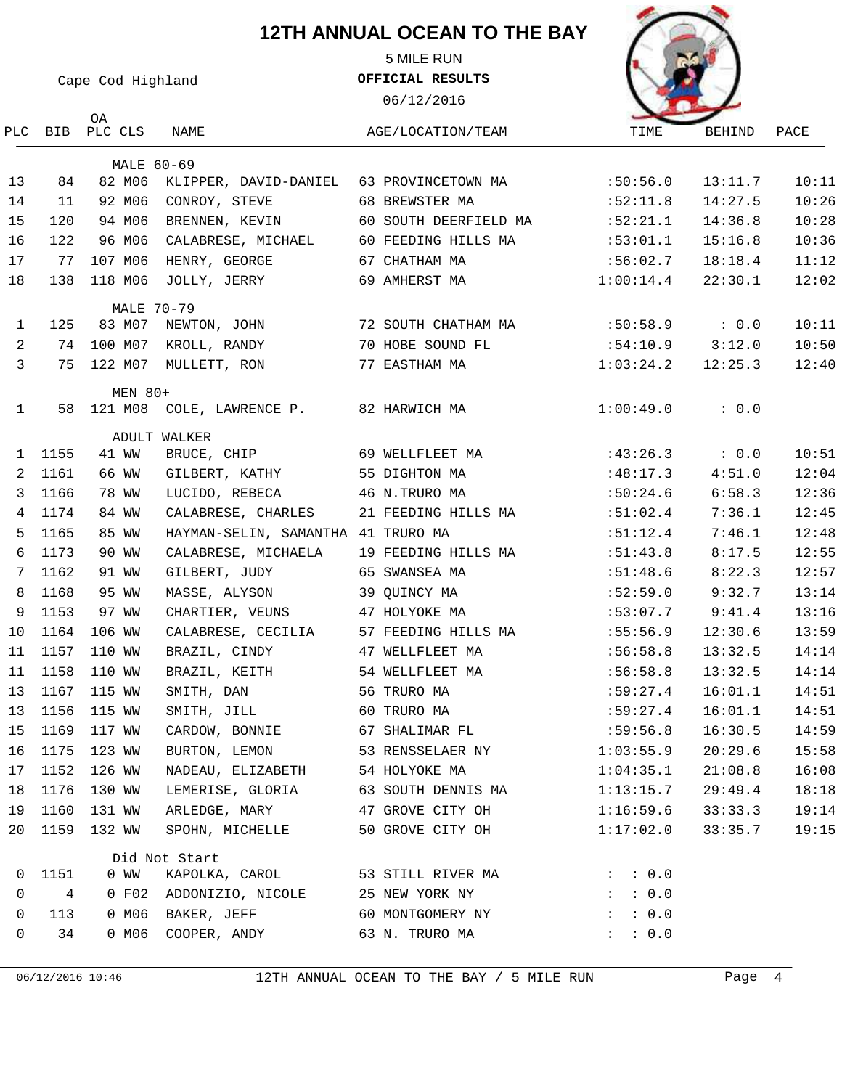5 MILE RUN

Cape Cod Highland

OA

# **OFFICIAL RESULTS**

06/12/2016



|              |      | PLC BIB PLC CLS | NAME                               | AGE/LOCATION/TEAM     | TIME                                 | BEHIND  | PACE  |
|--------------|------|-----------------|------------------------------------|-----------------------|--------------------------------------|---------|-------|
|              |      | MALE 60-69      |                                    |                       |                                      |         |       |
| 13           | 84   | 82 M06          | KLIPPER, DAVID-DANIEL              | 63 PROVINCETOWN MA    | :50:56.0                             | 13:11.7 | 10:11 |
| 14           | 11   | 92 M06          | CONROY, STEVE                      | 68 BREWSTER MA        | :52:11.8                             | 14:27.5 | 10:26 |
| 15           | 120  | 94 M06          | BRENNEN, KEVIN                     | 60 SOUTH DEERFIELD MA | :52:21.1                             | 14:36.8 | 10:28 |
| 16           | 122  | 96 M06          | CALABRESE, MICHAEL                 | 60 FEEDING HILLS MA   | :53:01.1                             | 15:16.8 | 10:36 |
| 17           | 77   | 107 M06         | HENRY, GEORGE                      | 67 CHATHAM MA         | :56:02.7                             | 18:18.4 | 11:12 |
| 18           | 138  | 118 M06         | JOLLY, JERRY                       | 69 AMHERST MA         | 1:00:14.4                            | 22:30.1 | 12:02 |
|              |      | MALE 70-79      |                                    |                       |                                      |         |       |
| 1            | 125  | 83 M07          | NEWTON, JOHN                       | 72 SOUTH CHATHAM MA   | $:50:58.9$ : 0.0                     |         | 10:11 |
| 2            | 74   | 100 M07         | KROLL, RANDY                       | 70 HOBE SOUND FL      | :54:10.9                             | 3:12.0  | 10:50 |
| 3            | 75   | 122 M07         | MULLETT, RON                       | 77 EASTHAM MA         | 1:03:24.2                            | 12:25.3 | 12:40 |
|              |      | MEN 80+         |                                    |                       |                                      |         |       |
| $\mathbf{1}$ | 58   | 121 M08         | COLE, LAWRENCE P.                  | 82 HARWICH MA         | 1:00:49.0                            | : 0.0   |       |
|              |      |                 | ADULT WALKER                       |                       |                                      |         |       |
| 1            | 1155 | 41 WW           | BRUCE, CHIP                        | 69 WELLFLEET MA       | :43:26.3                             | : 0.0   | 10:51 |
| 2            | 1161 | 66 WW           | GILBERT, KATHY                     | 55 DIGHTON MA         | :48:17.3                             | 4:51.0  | 12:04 |
| 3            | 1166 | 78 WW           | LUCIDO, REBECA                     | 46 N.TRURO MA         | :50:24.6                             | 6:58.3  | 12:36 |
| 4            | 1174 | 84 WW           | CALABRESE, CHARLES                 | 21 FEEDING HILLS MA   | :51:02.4                             | 7:36.1  | 12:45 |
| 5            | 1165 | 85 WW           | HAYMAN-SELIN, SAMANTHA 41 TRURO MA |                       | :51:12.4                             | 7:46.1  | 12:48 |
| 6            | 1173 | 90 WW           | CALABRESE, MICHAELA                | 19 FEEDING HILLS MA   | :51:43.8                             | 8:17.5  | 12:55 |
| 7            | 1162 | 91 WW           | GILBERT, JUDY                      | 65 SWANSEA MA         | :51:48.6                             | 8:22.3  | 12:57 |
| 8            | 1168 | 95 WW           | MASSE, ALYSON                      | 39 QUINCY MA          | :52:59.0                             | 9:32.7  | 13:14 |
| 9            | 1153 | 97 WW           | CHARTIER, VEUNS                    | 47 HOLYOKE MA         | :53:07.7                             | 9:41.4  | 13:16 |
| 10           | 1164 | 106 WW          | CALABRESE, CECILIA                 | 57 FEEDING HILLS MA   | :55:56.9                             | 12:30.6 | 13:59 |
| 11           | 1157 | 110 WW          | BRAZIL, CINDY                      | 47 WELLFLEET MA       | :56:58.8                             | 13:32.5 | 14:14 |
| 11           | 1158 | 110 WW          | BRAZIL, KEITH                      | 54 WELLFLEET MA       | :56:58.8                             | 13:32.5 | 14:14 |
| 13           | 1167 | 115 WW          | SMITH, DAN                         | 56 TRURO MA           | :59:27.4                             | 16:01.1 | 14:51 |
| 13           | 1156 | 115 WW          | SMITH, JILL                        | 60 TRURO MA           | :59:27.4                             | 16:01.1 | 14:51 |
| 15           | 1169 | 117 WW          | CARDOW, BONNIE                     | 67 SHALIMAR FL        | :59:56.8                             | 16:30.5 | 14:59 |
| 16           | 1175 | 123 WW          | BURTON, LEMON                      | 53 RENSSELAER NY      | 1:03:55.9                            | 20:29.6 | 15:58 |
| 17           | 1152 | 126 WW          | NADEAU, ELIZABETH                  | 54 HOLYOKE MA         | 1:04:35.1                            | 21:08.8 | 16:08 |
| 18           | 1176 | 130 WW          | LEMERISE, GLORIA                   | 63 SOUTH DENNIS MA    | 1:13:15.7                            | 29:49.4 | 18:18 |
| 19           | 1160 | 131 WW          | ARLEDGE, MARY                      | 47 GROVE CITY OH      | 1:16:59.6                            | 33:33.3 | 19:14 |
| 20           | 1159 | 132 WW          | SPOHN, MICHELLE                    | 50 GROVE CITY OH      | 1:17:02.0                            | 33:35.7 | 19:15 |
|              |      |                 | Did Not Start                      |                       |                                      |         |       |
| 0            | 1151 | 0 MM            | KAPOLKA, CAROL                     | 53 STILL RIVER MA     | : 0.0<br>$\mathcal{L} = \mathcal{L}$ |         |       |
| 0            | 4    | 0 F02           | ADDONIZIO, NICOLE                  | 25 NEW YORK NY        | : 0.0<br>$\ddot{\phantom{0}}$        |         |       |
| 0            | 113  | 0 MO6           | BAKER, JEFF                        | 60 MONTGOMERY NY      | : 0.0<br>$\ddot{\phantom{0}}$        |         |       |
| 0            | 34   | 0 M06           | COOPER, ANDY                       | 63 N. TRURO MA        | : 0.0<br>$\mathbf{E}$                |         |       |